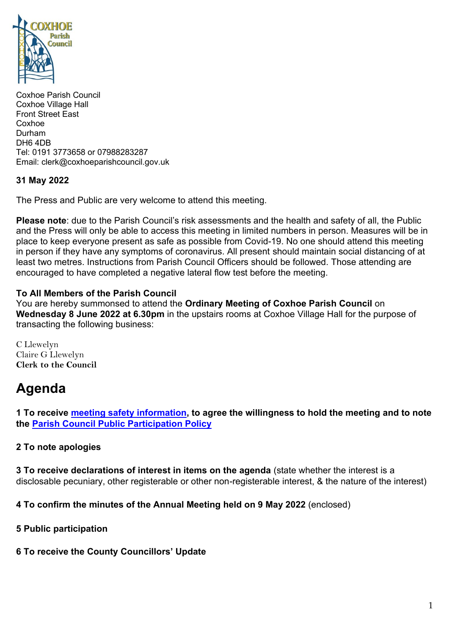

Coxhoe Parish Council Coxhoe Village Hall Front Street East Coxhoe Durham DH6 4DB Tel: 0191 3773658 or 07988283287 Email: clerk@coxhoeparishcouncil.gov.uk

## **31 May 2022**

The Press and Public are very welcome to attend this meeting.

**Please note**: due to the Parish Council's risk assessments and the health and safety of all, the Public and the Press will only be able to access this meeting in limited numbers in person. Measures will be in place to keep everyone present as safe as possible from Covid-19. No one should attend this meeting in person if they have any symptoms of coronavirus. All present should maintain social distancing of at least two metres. Instructions from Parish Council Officers should be followed. Those attending are encouraged to have completed a negative lateral flow test before the meeting.

#### **To All Members of the Parish Council**

You are hereby summonsed to attend the **Ordinary Meeting of Coxhoe Parish Council** on **Wednesday 8 June 2022 at 6.30pm** in the upstairs rooms at Coxhoe Village Hall for the purpose of transacting the following business:

C Llewelyn Claire G Llewelyn **Clerk to the Council** 

# **Agenda**

**1 To receive [meeting safety information,](https://1drv.ms/b/s!Alg_TKmu7xwUge07VSFitr5YDuNlzA?e=3ltwYe) to agree the willingness to hold the meeting and to note the [Parish Council Public Participation Policy](https://www.coxhoeparishcouncil.gov.uk/wp-content/uploads/sites/4/2022/04/Public-Participation-Policy-March-2022.pdf)**

## **2 To note apologies**

**3 To receive declarations of interest in items on the agenda** (state whether the interest is a disclosable pecuniary, other registerable or other non-registerable interest, & the nature of the interest)

**4 To confirm the minutes of the Annual Meeting held on 9 May 2022** (enclosed)

- **5 Public participation**
- **6 To receive the County Councillors' Update**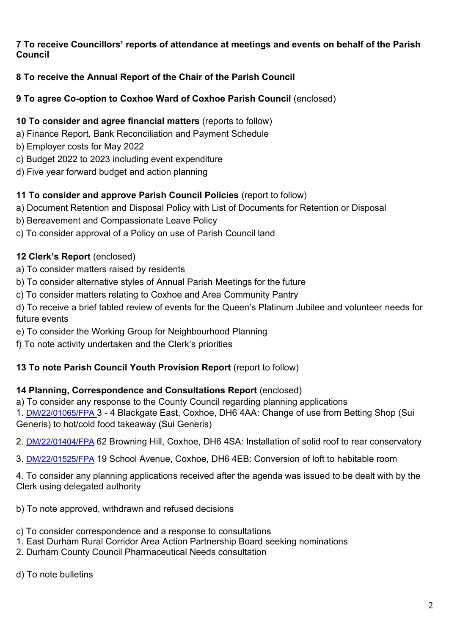### **7 To receive Councillors' reports of attendance at meetings and events on behalf of the Parish Council**

# **8 To receive the Annual Report of the Chair of the Parish Council**

## **9 To agree Co-option to Coxhoe Ward of Coxhoe Parish Council** (enclosed)

### **10 To consider and agree financial matters** (reports to follow)

- a) Finance Report, Bank Reconciliation and Payment Schedule
- b) Employer costs for May 2022
- c) Budget 2022 to 2023 including event expenditure
- d) Five year forward budget and action planning

## **11 To consider and approve Parish Council Policies** (report to follow)

a) Document Retention and Disposal Policy with List of Documents for Retention or Disposal

- b) Bereavement and Compassionate Leave Policy
- c) To consider approval of a Policy on use of Parish Council land

# **12 Clerk's Report** (enclosed)

- a) To consider matters raised by residents
- b) To consider alternative styles of Annual Parish Meetings for the future
- c) To consider matters relating to Coxhoe and Area Community Pantry

d) To receive a brief tabled review of events for the Queen's Platinum Jubilee and volunteer needs for future events

- e) To consider the Working Group for Neighbourhood Planning
- f) To note activity undertaken and the Clerk's priorities

## **13 To note Parish Council Youth Provision Report** (report to follow)

#### **14 Planning, Correspondence and Consultations Report** (enclosed)

a) To consider any response to the County Council regarding planning applications 1. [DM/22/01065/FPA](https://publicaccess.durham.gov.uk/online-applications/applicationDetails.do?activeTab=summary&keyVal=RA0NXBGDLND00) 3 - 4 Blackgate East, Coxhoe, DH6 4AA: Change of use from Betting Shop (Sui Generis) to hot/cold food takeaway (Sui Generis)

- 2. [DM/22/01404/FPA](https://publicaccess.durham.gov.uk/online-applications/applicationDetails.do?activeTab=summary&keyVal=RBQ32EGDM6W00) 62 Browning Hill, Coxhoe, DH6 4SA: Installation of solid roof to rear conservatory
- 3. [DM/22/01525/FPA](https://publicaccess.durham.gov.uk/online-applications/applicationDetails.do?activeTab=summary&keyVal=RCBOT6GDMDJ00) 19 School Avenue, Coxhoe, DH6 4EB: Conversion of loft to habitable room

4. To consider any planning applications received after the agenda was issued to be dealt with by the Clerk using delegated authority

b) To note approved, withdrawn and refused decisions

- c) To consider correspondence and a response to consultations
- 1. East Durham Rural Corridor Area Action Partnership Board seeking nominations
- 2. Durham County Council Pharmaceutical Needs consultation

d) To note bulletins